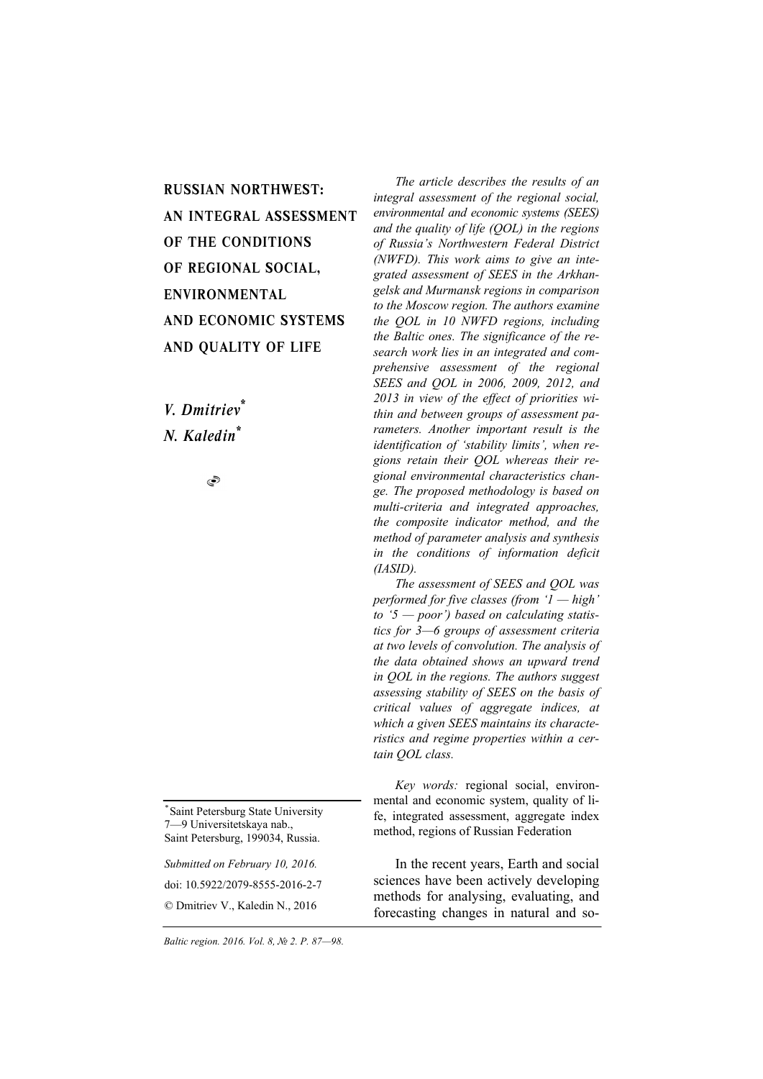RUSSIAN NORTHWEST: AN INTEGRAL ASSESSMENT OF THE CONDITIONS OF REGIONAL SOCIAL, ENVIRONMENTAL AND ECONOMIC SYSTEMS AND QUALITY OF LIFE

*V. Dmitriev\* N. Kaledin\**

S

*\**Saint Petersburg State University 7—9 Universitetskaya nab., Saint Petersburg, 199034, Russia.

*Submitted on February 10, 2016.*  doi: 10.5922/2079-8555-2016-2-7 © Dmitriev V., Kaledin N., 2016

*The article describes the results of an integral assessment of the regional social, environmental and economic systems (SEES) and the quality of life (QOL) in the regions of Russia's Northwestern Federal District (NWFD). This work aims to give an integrated assessment of SEES in the Arkhangelsk and Murmansk regions in comparison to the Moscow region. The authors examine the QOL in 10 NWFD regions, including the Baltic ones. The significance of the research work lies in an integrated and comprehensive assessment of the regional SEES and QOL in 2006, 2009, 2012, and 2013 in view of the effect of priorities within and between groups of assessment parameters. Another important result is the identification of 'stability limits', when regions retain their QOL whereas their regional environmental characteristics change. The proposed methodology is based on multi-criteria and integrated approaches, the composite indicator method, and the method of parameter analysis and synthesis in the conditions of information deficit (IASID).* 

*The assessment of SEES and QOL was performed for five classes (from '1 — high' to '5 — poor') based on calculating statistics for 3—6 groups of assessment criteria at two levels of convolution. The analysis of the data obtained shows an upward trend in QOL in the regions. The authors suggest assessing stability of SEES on the basis of critical values of aggregate indices, at which a given SEES maintains its characteristics and regime properties within a certain QOL class.* 

*Key words:* regional social, environmental and economic system, quality of life, integrated assessment, aggregate index method, regions of Russian Federation

In the recent years, Earth and social sciences have been actively developing methods for analysing, evaluating, and forecasting changes in natural and so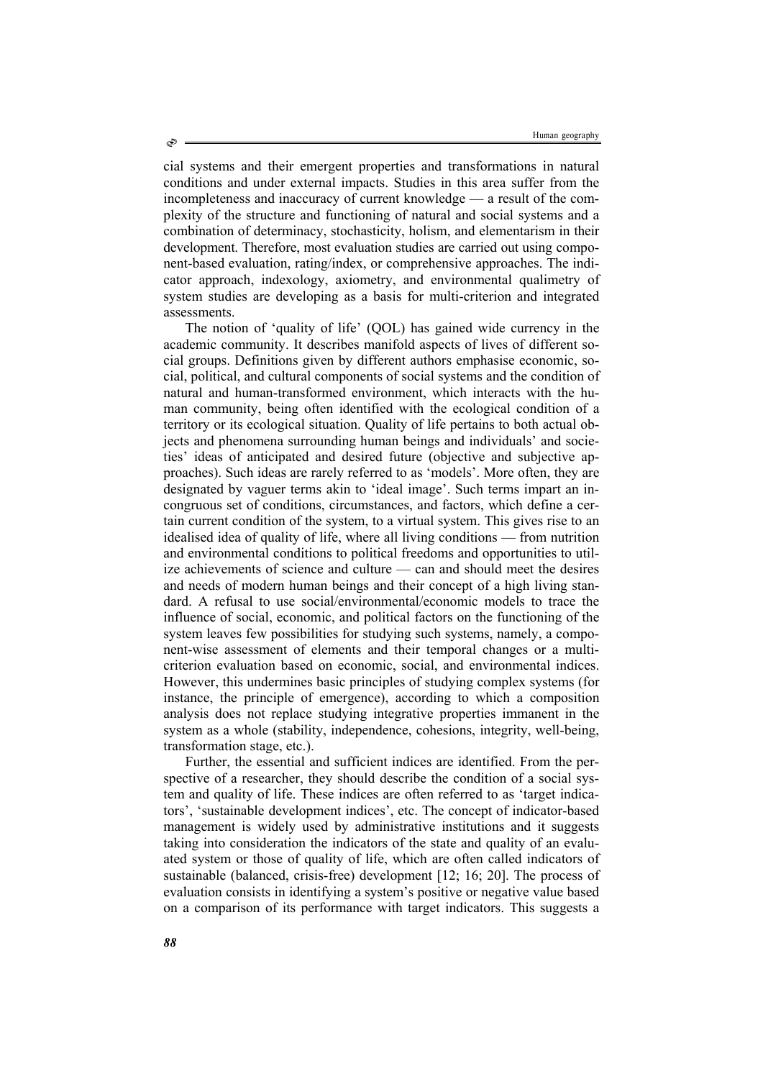cial systems and their emergent properties and transformations in natural conditions and under external impacts. Studies in this area suffer from the incompleteness and inaccuracy of current knowledge — a result of the complexity of the structure and functioning of natural and social systems and a combination of determinacy, stochasticity, holism, and elementarism in their development. Therefore, most evaluation studies are carried out using component-based evaluation, rating/index, or comprehensive approaches. The indicator approach, indexology, axiometry, and environmental qualimetry of system studies are developing as a basis for multi-criterion and integrated assessments.

The notion of 'quality of life' (QOL) has gained wide currency in the academic community. It describes manifold aspects of lives of different social groups. Definitions given by different authors emphasise economic, social, political, and cultural components of social systems and the condition of natural and human-transformed environment, which interacts with the human community, being often identified with the ecological condition of a territory or its ecological situation. Quality of life pertains to both actual objects and phenomena surrounding human beings and individuals' and societies' ideas of anticipated and desired future (objective and subjective approaches). Such ideas are rarely referred to as 'models'. More often, they are designated by vaguer terms akin to 'ideal image'. Such terms impart an incongruous set of conditions, circumstances, and factors, which define a certain current condition of the system, to a virtual system. This gives rise to an idealised idea of quality of life, where all living conditions — from nutrition and environmental conditions to political freedoms and opportunities to utilize achievements of science and culture — can and should meet the desires and needs of modern human beings and their concept of a high living standard. A refusal to use social/environmental/economic models to trace the influence of social, economic, and political factors on the functioning of the system leaves few possibilities for studying such systems, namely, a component-wise assessment of elements and their temporal changes or a multicriterion evaluation based on economic, social, and environmental indices. However, this undermines basic principles of studying complex systems (for instance, the principle of emergence), according to which a composition analysis does not replace studying integrative properties immanent in the system as a whole (stability, independence, cohesions, integrity, well-being, transformation stage, etc.).

Further, the essential and sufficient indices are identified. From the perspective of a researcher, they should describe the condition of a social system and quality of life. These indices are often referred to as 'target indicators', 'sustainable development indices', etc. The concept of indicator-based management is widely used by administrative institutions and it suggests taking into consideration the indicators of the state and quality of an evaluated system or those of quality of life, which are often called indicators of sustainable (balanced, crisis-free) development [12; 16; 20]. The process of evaluation consists in identifying a system's positive or negative value based on a comparison of its performance with target indicators. This suggests a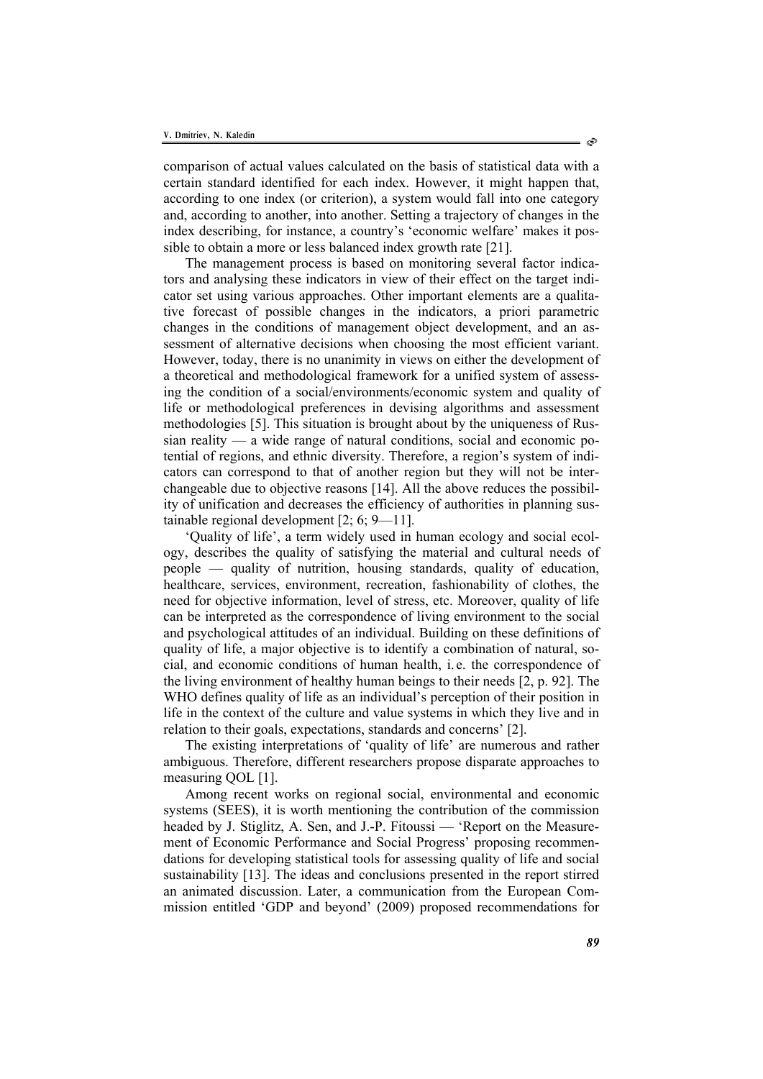comparison of actual values calculated on the basis of statistical data with a certain standard identified for each index. However, it might happen that, according to one index (or criterion), a system would fall into one category and, according to another, into another. Setting a trajectory of changes in the index describing, for instance, a country's 'economic welfare' makes it possible to obtain a more or less balanced index growth rate [21].

The management process is based on monitoring several factor indicators and analysing these indicators in view of their effect on the target indicator set using various approaches. Other important elements are a qualitative forecast of possible changes in the indicators, a priori parametric changes in the conditions of management object development, and an assessment of alternative decisions when choosing the most efficient variant. However, today, there is no unanimity in views on either the development of a theoretical and methodological framework for a unified system of assessing the condition of a social/environments/economic system and quality of life or methodological preferences in devising algorithms and assessment methodologies [5]. This situation is brought about by the uniqueness of Russian reality — a wide range of natural conditions, social and economic potential of regions, and ethnic diversity. Therefore, a region's system of indicators can correspond to that of another region but they will not be interchangeable due to objective reasons [14]. All the above reduces the possibility of unification and decreases the efficiency of authorities in planning sustainable regional development [2; 6; 9—11].

'Quality of life', a term widely used in human ecology and social ecology, describes the quality of satisfying the material and cultural needs of people — quality of nutrition, housing standards, quality of education, healthcare, services, environment, recreation, fashionability of clothes, the need for objective information, level of stress, etc. Moreover, quality of life can be interpreted as the correspondence of living environment to the social and psychological attitudes of an individual. Building on these definitions of quality of life, a major objective is to identify a combination of natural, social, and economic conditions of human health, i. e. the correspondence of the living environment of healthy human beings to their needs [2, p. 92]. The WHO defines quality of life as an individual's perception of their position in life in the context of the culture and value systems in which they live and in relation to their goals, expectations, standards and concerns' [2].

The existing interpretations of 'quality of life' are numerous and rather ambiguous. Therefore, different researchers propose disparate approaches to measuring QOL [1].

Among recent works on regional social, environmental and economic systems (SEES), it is worth mentioning the contribution of the commission headed by J. Stiglitz, A. Sen, and J.-P. Fitoussi — 'Report on the Measurement of Economic Performance and Social Progress' proposing recommendations for developing statistical tools for assessing quality of life and social sustainability [13]. The ideas and conclusions presented in the report stirred an animated discussion. Later, a communication from the European Commission entitled 'GDP and beyond' (2009) proposed recommendations for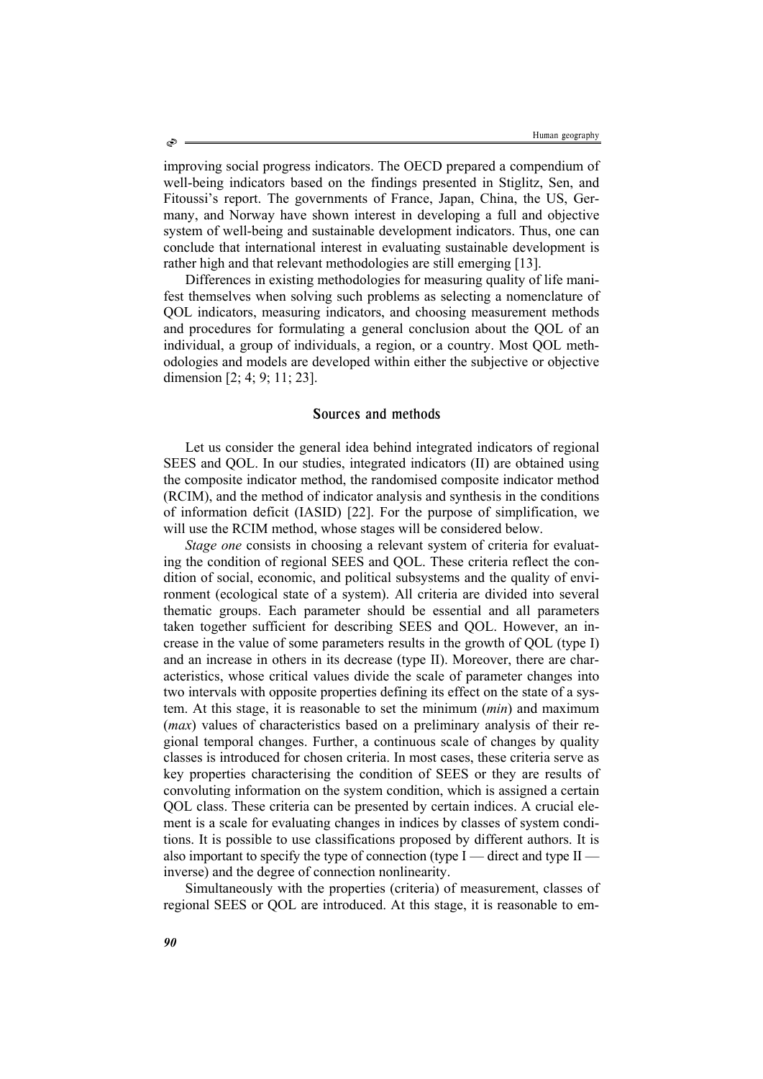improving social progress indicators. The OECD prepared a compendium of well-being indicators based on the findings presented in Stiglitz, Sen, and Fitoussi's report. The governments of France, Japan, China, the US, Germany, and Norway have shown interest in developing a full and objective system of well-being and sustainable development indicators. Thus, one can conclude that international interest in evaluating sustainable development is rather high and that relevant methodologies are still emerging [13].

Differences in existing methodologies for measuring quality of life manifest themselves when solving such problems as selecting a nomenclature of QOL indicators, measuring indicators, and choosing measurement methods and procedures for formulating a general conclusion about the QOL of an individual, a group of individuals, a region, or a country. Most QOL methodologies and models are developed within either the subjective or objective dimension [2; 4; 9; 11; 23].

### Sources and methods

Let us consider the general idea behind integrated indicators of regional SEES and QOL. In our studies, integrated indicators (II) are obtained using the composite indicator method, the randomised composite indicator method (RCIM), and the method of indicator analysis and synthesis in the conditions of information deficit (IASID) [22]. For the purpose of simplification, we will use the RCIM method, whose stages will be considered below.

*Stage one* consists in choosing a relevant system of criteria for evaluating the condition of regional SEES and QOL. These criteria reflect the condition of social, economic, and political subsystems and the quality of environment (ecological state of a system). All criteria are divided into several thematic groups. Each parameter should be essential and all parameters taken together sufficient for describing SEES and QOL. However, an increase in the value of some parameters results in the growth of QOL (type I) and an increase in others in its decrease (type II). Moreover, there are characteristics, whose critical values divide the scale of parameter changes into two intervals with opposite properties defining its effect on the state of a system. At this stage, it is reasonable to set the minimum (*min*) and maximum (*max*) values of characteristics based on a preliminary analysis of their regional temporal changes. Further, a continuous scale of changes by quality classes is introduced for chosen criteria. In most cases, these criteria serve as key properties characterising the condition of SEES or they are results of convoluting information on the system condition, which is assigned a certain QOL class. These criteria can be presented by certain indices. A crucial element is a scale for evaluating changes in indices by classes of system conditions. It is possible to use classifications proposed by different authors. It is also important to specify the type of connection (type I — direct and type II inverse) and the degree of connection nonlinearity.

Simultaneously with the properties (criteria) of measurement, classes of regional SEES or QOL are introduced. At this stage, it is reasonable to em-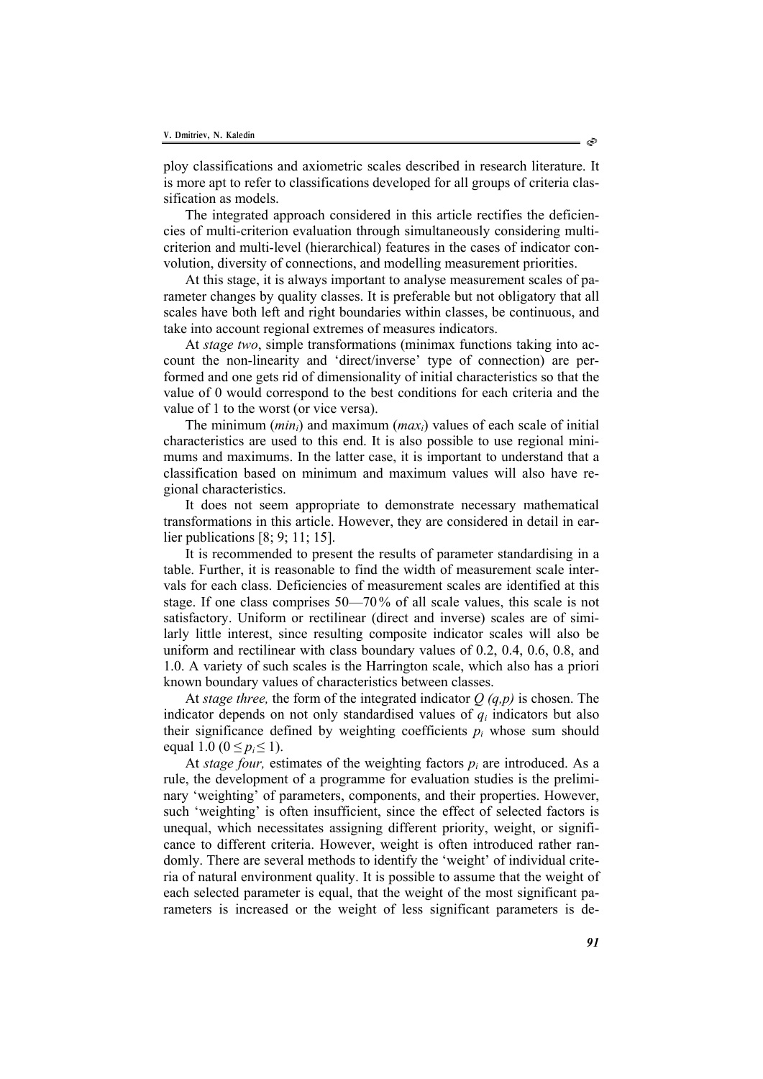ploy classifications and axiometric scales described in research literature. It is more apt to refer to classifications developed for all groups of criteria classification as models.

The integrated approach considered in this article rectifies the deficiencies of multi-criterion evaluation through simultaneously considering multicriterion and multi-level (hierarchical) features in the cases of indicator convolution, diversity of connections, and modelling measurement priorities.

At this stage, it is always important to analyse measurement scales of parameter changes by quality classes. It is preferable but not obligatory that all scales have both left and right boundaries within classes, be continuous, and take into account regional extremes of measures indicators.

At *stage two*, simple transformations (minimax functions taking into account the non-linearity and 'direct/inverse' type of connection) are performed and one gets rid of dimensionality of initial characteristics so that the value of 0 would correspond to the best conditions for each criteria and the value of 1 to the worst (or vice versa).

The minimum (*mini*) and maximum (*maxi*) values of each scale of initial characteristics are used to this end. It is also possible to use regional minimums and maximums. In the latter case, it is important to understand that a classification based on minimum and maximum values will also have regional characteristics.

It does not seem appropriate to demonstrate necessary mathematical transformations in this article. However, they are considered in detail in earlier publications [8; 9; 11; 15].

It is recommended to present the results of parameter standardising in a table. Further, it is reasonable to find the width of measurement scale intervals for each class. Deficiencies of measurement scales are identified at this stage. If one class comprises 50—70% of all scale values, this scale is not satisfactory. Uniform or rectilinear (direct and inverse) scales are of similarly little interest, since resulting composite indicator scales will also be uniform and rectilinear with class boundary values of 0.2, 0.4, 0.6, 0.8, and 1.0. A variety of such scales is the Harrington scale, which also has a priori known boundary values of characteristics between classes.

At *stage three,* the form of the integrated indicator *Q (q,p)* is chosen. The indicator depends on not only standardised values of *qi* indicators but also their significance defined by weighting coefficients  $p_i$  whose sum should equal 1.0 ( $0 \le p_i \le 1$ ).

At *stage four*, estimates of the weighting factors  $p_i$  are introduced. As a rule, the development of a programme for evaluation studies is the preliminary 'weighting' of parameters, components, and their properties. However, such 'weighting' is often insufficient, since the effect of selected factors is unequal, which necessitates assigning different priority, weight, or significance to different criteria. However, weight is often introduced rather randomly. There are several methods to identify the 'weight' of individual criteria of natural environment quality. It is possible to assume that the weight of each selected parameter is equal, that the weight of the most significant parameters is increased or the weight of less significant parameters is de-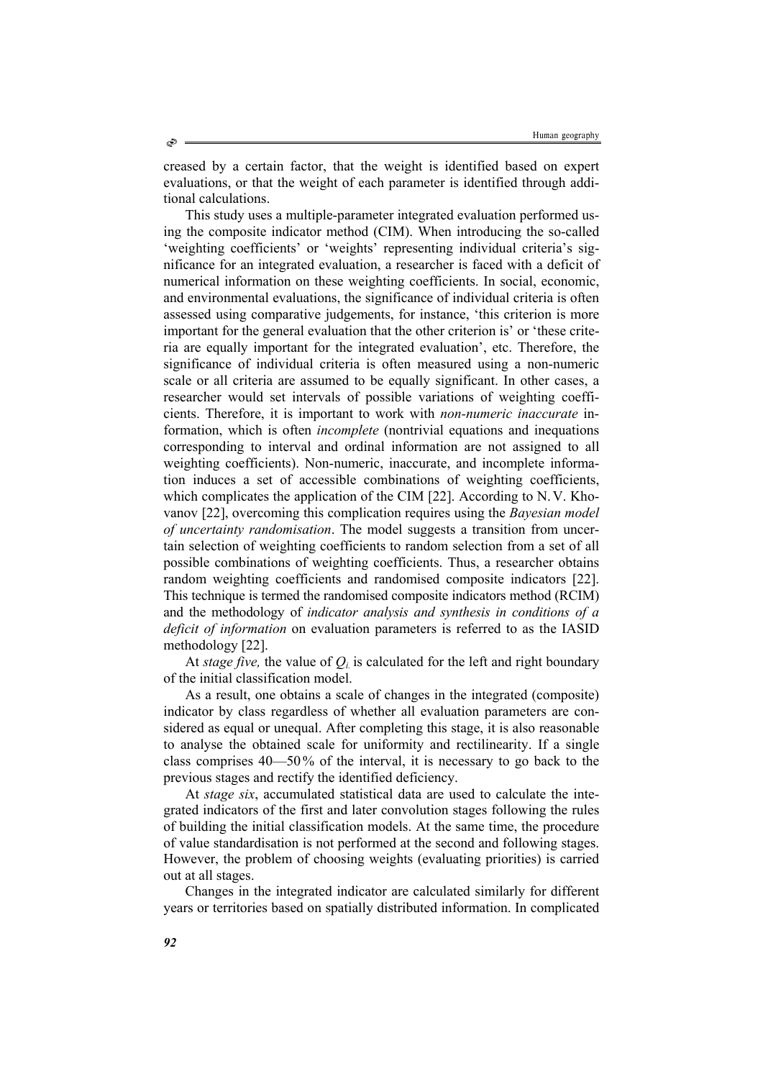creased by a certain factor, that the weight is identified based on expert evaluations, or that the weight of each parameter is identified through additional calculations.

This study uses a multiple-parameter integrated evaluation performed using the composite indicator method (CIM). When introducing the so-called 'weighting coefficients' or 'weights' representing individual criteria's significance for an integrated evaluation, a researcher is faced with a deficit of numerical information on these weighting coefficients. In social, economic, and environmental evaluations, the significance of individual criteria is often assessed using comparative judgements, for instance, 'this criterion is more important for the general evaluation that the other criterion is' or 'these criteria are equally important for the integrated evaluation', etc. Therefore, the significance of individual criteria is often measured using a non-numeric scale or all criteria are assumed to be equally significant. In other cases, a researcher would set intervals of possible variations of weighting coefficients. Therefore, it is important to work with *non-numeric inaccurate* information, which is often *incomplete* (nontrivial equations and inequations corresponding to interval and ordinal information are not assigned to all weighting coefficients). Non-numeric, inaccurate, and incomplete information induces a set of accessible combinations of weighting coefficients, which complicates the application of the CIM [22]. According to N.V. Khovanov [22], overcoming this complication requires using the *Bayesian model of uncertainty randomisation*. The model suggests a transition from uncertain selection of weighting coefficients to random selection from a set of all possible combinations of weighting coefficients. Thus, a researcher obtains random weighting coefficients and randomised composite indicators [22]. This technique is termed the randomised composite indicators method (RCIM) and the methodology of *indicator analysis and synthesis in conditions of a deficit of information* on evaluation parameters is referred to as the IASID methodology [22].

At *stage five*, the value of  $Q_i$  is calculated for the left and right boundary of the initial classification model.

As a result, one obtains a scale of changes in the integrated (composite) indicator by class regardless of whether all evaluation parameters are considered as equal or unequal. After completing this stage, it is also reasonable to analyse the obtained scale for uniformity and rectilinearity. If a single class comprises 40—50% of the interval, it is necessary to go back to the previous stages and rectify the identified deficiency.

At *stage six*, accumulated statistical data are used to calculate the integrated indicators of the first and later convolution stages following the rules of building the initial classification models. At the same time, the procedure of value standardisation is not performed at the second and following stages. However, the problem of choosing weights (evaluating priorities) is carried out at all stages.

Changes in the integrated indicator are calculated similarly for different years or territories based on spatially distributed information. In complicated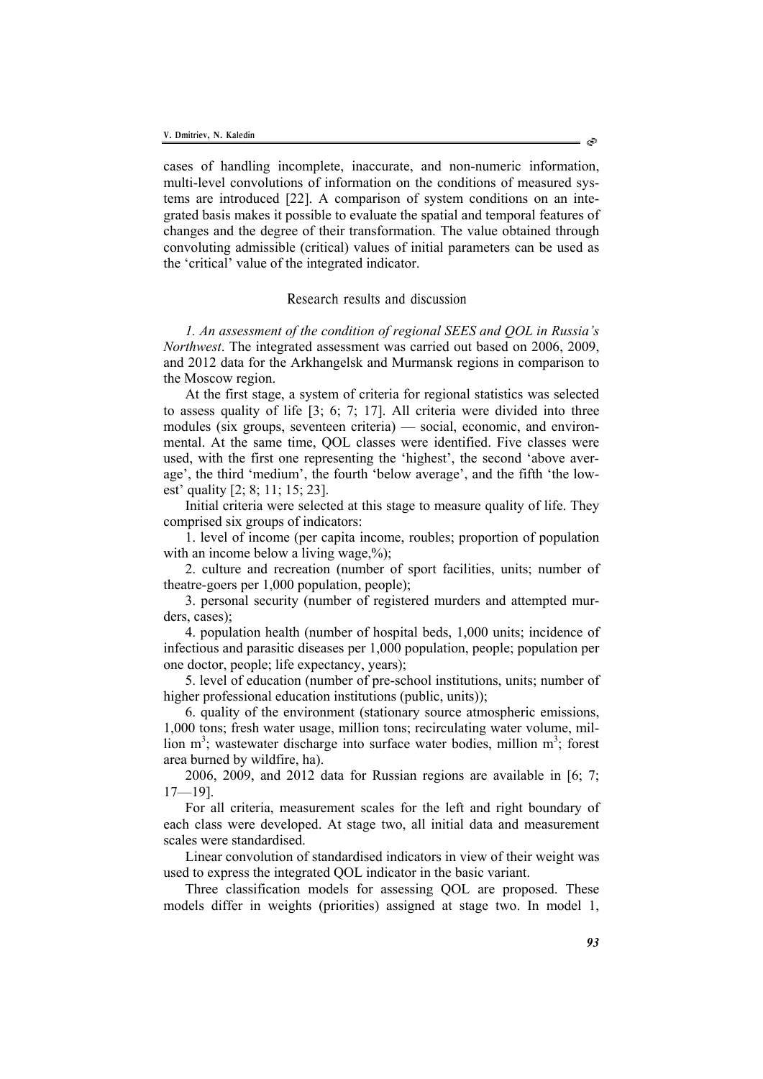cases of handling incomplete, inaccurate, and non-numeric information, multi-level convolutions of information on the conditions of measured systems are introduced [22]. A comparison of system conditions on an integrated basis makes it possible to evaluate the spatial and temporal features of changes and the degree of their transformation. The value obtained through convoluting admissible (critical) values of initial parameters can be used as the 'critical' value of the integrated indicator.

# Research results and discussion

*1. An assessment of the condition of regional SEES and QOL in Russia's Northwest*. The integrated assessment was carried out based on 2006, 2009, and 2012 data for the Arkhangelsk and Murmansk regions in comparison to the Moscow region.

At the first stage, a system of criteria for regional statistics was selected to assess quality of life [3; 6; 7; 17]. All criteria were divided into three modules (six groups, seventeen criteria) — social, economic, and environmental. At the same time, QOL classes were identified. Five classes were used, with the first one representing the 'highest', the second 'above average', the third 'medium', the fourth 'below average', and the fifth 'the lowest' quality [2; 8; 11; 15; 23].

Initial criteria were selected at this stage to measure quality of life. They comprised six groups of indicators:

1. level of income (per capita income, roubles; proportion of population with an income below a living wage,  $\%$ ;

2. culture and recreation (number of sport facilities, units; number of theatre-goers per 1,000 population, people);

3. personal security (number of registered murders and attempted murders, cases);

4. population health (number of hospital beds, 1,000 units; incidence of infectious and parasitic diseases per 1,000 population, people; population per one doctor, people; life expectancy, years);

5. level of education (number of pre-school institutions, units; number of higher professional education institutions (public, units));

6. quality of the environment (stationary source atmospheric emissions, 1,000 tons; fresh water usage, million tons; recirculating water volume, million  $m^3$ ; wastewater discharge into surface water bodies, million  $m^3$ ; forest area burned by wildfire, ha).

2006, 2009, and 2012 data for Russian regions are available in [6; 7; 17—19].

For all criteria, measurement scales for the left and right boundary of each class were developed. At stage two, all initial data and measurement scales were standardised.

Linear convolution of standardised indicators in view of their weight was used to express the integrated QOL indicator in the basic variant.

Three classification models for assessing QOL are proposed. These models differ in weights (priorities) assigned at stage two. In model 1,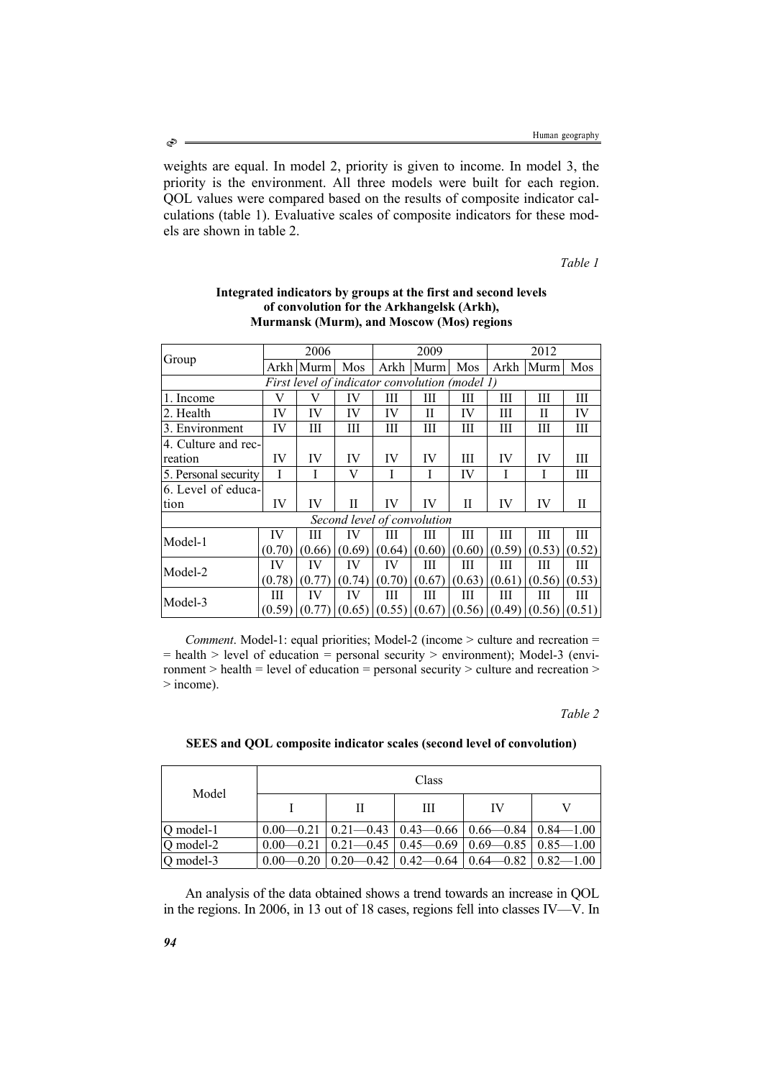weights are equal. In model 2, priority is given to income. In model 3, the priority is the environment. All three models were built for each region. QOL values were compared based on the results of composite indicator calculations (table 1). Evaluative scales of composite indicators for these models are shown in table 2.

*Table 1* 

|                                                | 2006   |           |        | 2009   |        |        | 2012   |        |        |  |  |  |  |
|------------------------------------------------|--------|-----------|--------|--------|--------|--------|--------|--------|--------|--|--|--|--|
| Group                                          |        | Arkh Murm | Mos    | Arkh   | Murm   | Mos    | Arkh   | Murm   | Mos    |  |  |  |  |
| First level of indicator convolution (model 1) |        |           |        |        |        |        |        |        |        |  |  |  |  |
| 1. Income                                      | V      | V         | IV     | Ш      | Ш      | Ш      | Ш      | Ш      | Ш      |  |  |  |  |
| 2. Health                                      | IV     | IV        | IV     | IV     | П      | IV     | Ш      | Н      | IV     |  |  |  |  |
| 3. Environment                                 | IV     | Ш         | Ш      | Ш      | Ш      | Ш      | Ш      | Ш      | Ш      |  |  |  |  |
| 4. Culture and rec-                            |        |           |        |        |        |        |        |        |        |  |  |  |  |
| reation                                        | IV     | IV        | IV     | IV     | IV     | Ш      | IV     | IV     | Ш      |  |  |  |  |
| 5. Personal security                           | I      | I         | V      | I      | I      | IV     |        | I      | Ш      |  |  |  |  |
| 6. Level of educa-                             |        |           |        |        |        |        |        |        |        |  |  |  |  |
| tion                                           | IV     | IV        | Н      | IV     | IV     | Н      | IV     | IV     | Н      |  |  |  |  |
| Second level of convolution                    |        |           |        |        |        |        |        |        |        |  |  |  |  |
| Model-1                                        | IV     | Ш         | IV     | Ш      | Ш      | Ш      | Ш      | Ш      | Ш      |  |  |  |  |
|                                                | (0.70) | (0.66)    | (0.69) | (0.64) | (0.60) | (0.60) | (0.59) | (0.53) | (0.52) |  |  |  |  |
| Model-2                                        | IV     | IV        | IV     | IV     | Ш      | Ш      | Ш      | Ш      | Ш      |  |  |  |  |
|                                                | (0.78) | (0.77)    | (0.74) | (0.70) | (0.67) | (0.63) | (0.61) | (0.56) | (0.53) |  |  |  |  |
| Model-3                                        | Ш      | IV        | IV     | Ш      | Ш      | Ш      | Ш      | Ш      | Ш      |  |  |  |  |
|                                                | (0.59) | (0.77)    | (0.65) | (0.55) | (0.67) | (0.56) | (0.49) | (0.56) | (0.51) |  |  |  |  |

### **Integrated indicators by groups at the first and second levels of convolution for the Arkhangelsk (Arkh), Murmansk (Murm), and Moscow (Mos) regions**

*Comment*. Model-1: equal priorities; Model-2 (income > culture and recreation =  $=$  health  $>$  level of education  $=$  personal security  $>$  environment); Model-3 (environment  $>$  health = level of education = personal security  $>$  culture and recreation  $>$ > income).

*Table 2* 

| SEES and QOL composite indicator scales (second level of convolution) |
|-----------------------------------------------------------------------|
|                                                                       |

| Model     | Class |               |               |                               |               |  |  |  |  |
|-----------|-------|---------------|---------------|-------------------------------|---------------|--|--|--|--|
|           |       | Н             | Ш             | IV                            |               |  |  |  |  |
| Q model-1 |       | $0.21 - 0.43$ |               | $0.43 - 0.66$   $0.66 - 0.84$ | $0.84 - 1.00$ |  |  |  |  |
| Q model-2 |       | $0.21 - 0.45$ | $0.45 - 0.69$ | $0.69 - 0.85$                 | $0.85 - 1.00$ |  |  |  |  |
| Q model-3 |       | $0.20 - 0.42$ | $0.42 - 0.64$ | $-0.82$<br>$0.64-$            | $0.82 - 1.00$ |  |  |  |  |

An analysis of the data obtained shows a trend towards an increase in QOL in the regions. In 2006, in 13 out of 18 cases, regions fell into classes IV—V. In

 $\circledcirc$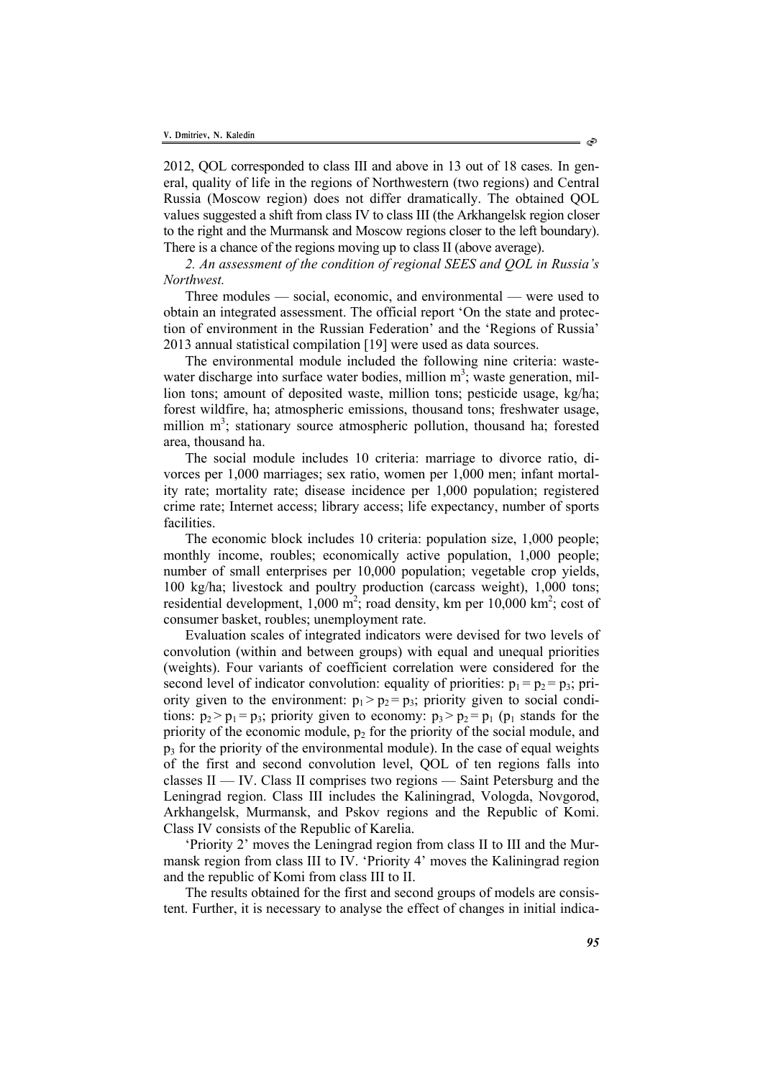2012, QOL corresponded to class III and above in 13 out of 18 cases. In general, quality of life in the regions of Northwestern (two regions) and Central Russia (Moscow region) does not differ dramatically. The obtained QOL values suggested a shift from class IV to class III (the Arkhangelsk region closer to the right and the Murmansk and Moscow regions closer to the left boundary). There is a chance of the regions moving up to class II (above average).

*2. An assessment of the condition of regional SEES and QOL in Russia's Northwest.* 

Three modules — social, economic, and environmental — were used to obtain an integrated assessment. The official report 'On the state and protection of environment in the Russian Federation' and the 'Regions of Russia' 2013 annual statistical compilation [19] were used as data sources.

The environmental module included the following nine criteria: wastewater discharge into surface water bodies, million  $m^3$ ; waste generation, million tons; amount of deposited waste, million tons; pesticide usage, kg/ha; forest wildfire, ha; atmospheric emissions, thousand tons; freshwater usage, million m<sup>3</sup>; stationary source atmospheric pollution, thousand ha; forested area, thousand ha.

The social module includes 10 criteria: marriage to divorce ratio, divorces per 1,000 marriages; sex ratio, women per 1,000 men; infant mortality rate; mortality rate; disease incidence per 1,000 population; registered crime rate; Internet access; library access; life expectancy, number of sports facilities.

The economic block includes 10 criteria: population size, 1,000 people; monthly income, roubles; economically active population, 1,000 people; number of small enterprises per 10,000 population; vegetable crop yields, 100 kg/ha; livestock and poultry production (carcass weight), 1,000 tons; residential development,  $1,000 \text{ m}^2$ ; road density, km per  $10,000 \text{ km}^2$ ; cost of consumer basket, roubles; unemployment rate.

Evaluation scales of integrated indicators were devised for two levels of convolution (within and between groups) with equal and unequal priorities (weights). Four variants of coefficient correlation were considered for the second level of indicator convolution: equality of priorities:  $p_1 = p_2 = p_3$ ; priority given to the environment:  $p_1 > p_2 = p_3$ ; priority given to social conditions:  $p_2 > p_1 = p_3$ ; priority given to economy:  $p_3 > p_2 = p_1$  ( $p_1$  stands for the priority of the economic module,  $p_2$  for the priority of the social module, and  $p_3$  for the priority of the environmental module). In the case of equal weights of the first and second convolution level, QOL of ten regions falls into classes II — IV. Class II comprises two regions — Saint Petersburg and the Leningrad region. Class III includes the Kaliningrad, Vologda, Novgorod, Arkhangelsk, Murmansk, and Pskov regions and the Republic of Komi. Class IV consists of the Republic of Karelia.

'Priority 2' moves the Leningrad region from class II to III and the Murmansk region from class III to IV. 'Priority 4' moves the Kaliningrad region and the republic of Komi from class III to II.

The results obtained for the first and second groups of models are consistent. Further, it is necessary to analyse the effect of changes in initial indica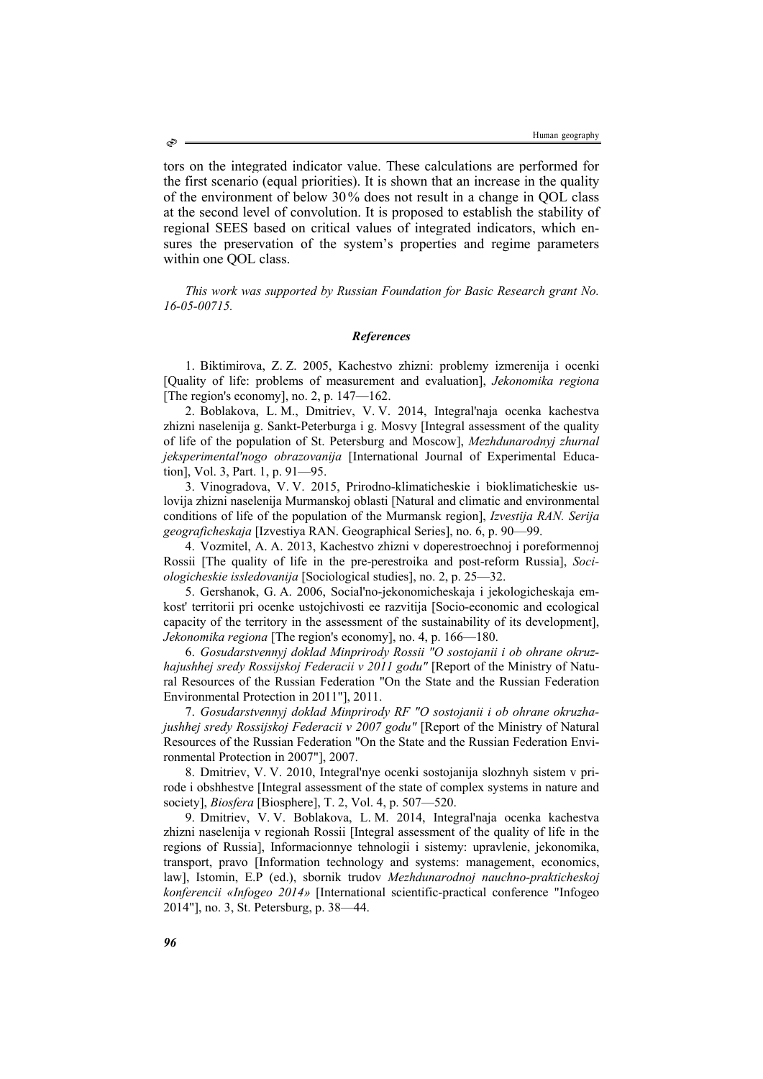tors on the integrated indicator value. These calculations are performed for the first scenario (equal priorities). It is shown that an increase in the quality of the environment of below 30% does not result in a change in QOL class at the second level of convolution. It is proposed to establish the stability of regional SEES based on critical values of integrated indicators, which ensures the preservation of the system's properties and regime parameters within one QOL class.

*This work was supported by Russian Foundation for Basic Research grant No. 16-05-00715.* 

# *References*

1. Biktimirova, Z. Z. 2005, Kachestvo zhizni: problemy izmerenija i ocenki [Quality of life: problems of measurement and evaluation], *Jekonomika regiona*  [The region's economy], no. 2, p. 147—162.

2. Boblakova, L. М., Dmitriev, V. V. 2014, Integral'naja ocenka kachestva zhizni naselenija g. Sankt-Peterburga i g. Mosvy [Integral assessment of the quality of life of the population of St. Petersburg and Moscow], *Mezhdunarodnyj zhurnal jeksperimental'nogo obrazovanija* [International Journal of Experimental Education], Vol. 3, Part. 1, p. 91—95.

3. Vinogradova, V. V. 2015, Prirodno-klimaticheskie i bioklimaticheskie uslovija zhizni naselenija Murmanskoj oblasti [Natural and climatic and environmental conditions of life of the population of the Murmansk region], *Izvestija RAN. Serija geograficheskaja* [Izvestiya RAN. Geographical Series], no. 6, p. 90—99.

4. Vozmitel, А. А. 2013, Kachestvo zhizni v doperestroechnoj i poreformennoj Rossii [The quality of life in the pre-perestroika and post-reform Russia], *Sociologicheskie issledovanija* [Sociological studies], no. 2, p. 25—32.

5. Gershanok, G. А. 2006, Social'no-jekonomicheskaja i jekologicheskaja emkost' territorii pri ocenke ustojchivosti ee razvitija [Socio-economic and ecological capacity of the territory in the assessment of the sustainability of its development], *Jekonomika regiona* [The region's economy], no. 4, p. 166—180.

6. *Gosudarstvennyj doklad Minprirody Rossii "O sostojanii i ob ohrane okruzhajushhej sredy Rossijskoj Federacii v 2011 godu"* [Report of the Ministry of Natural Resources of the Russian Federation "On the State and the Russian Federation Environmental Protection in 2011"], 2011.

7. *Gosudarstvennyj doklad Minprirody RF "O sostojanii i ob ohrane okruzhajushhej sredy Rossijskoj Federacii v 2007 godu"* [Report of the Ministry of Natural Resources of the Russian Federation "On the State and the Russian Federation Environmental Protection in 2007"], 2007.

8. Dmitriev, V. V. 2010, Integral'nye ocenki sostojanija slozhnyh sistem v prirode i obshhestve [Integral assessment of the state of complex systems in nature and society], *Biosfera* [Biosphere], T. 2, Vol. 4, p. 507—520.

9. Dmitriev, V. V. Boblakova, L. M. 2014, Integral'naja ocenka kachestva zhizni naselenija v regionah Rossii [Integral assessment of the quality of life in the regions of Russia], Informacionnye tehnologii i sistemy: upravlenie, jekonomika, transport, pravo [Information technology and systems: management, economics, law], Istomin, Е.P (ed.), sbornik trudov *Mezhdunarodnoj nauchno-prakticheskoj konferencii «Infogeo 2014»* [International scientific-practical conference "Infogeo 2014"], no. 3, St. Petersburg, p. 38—44.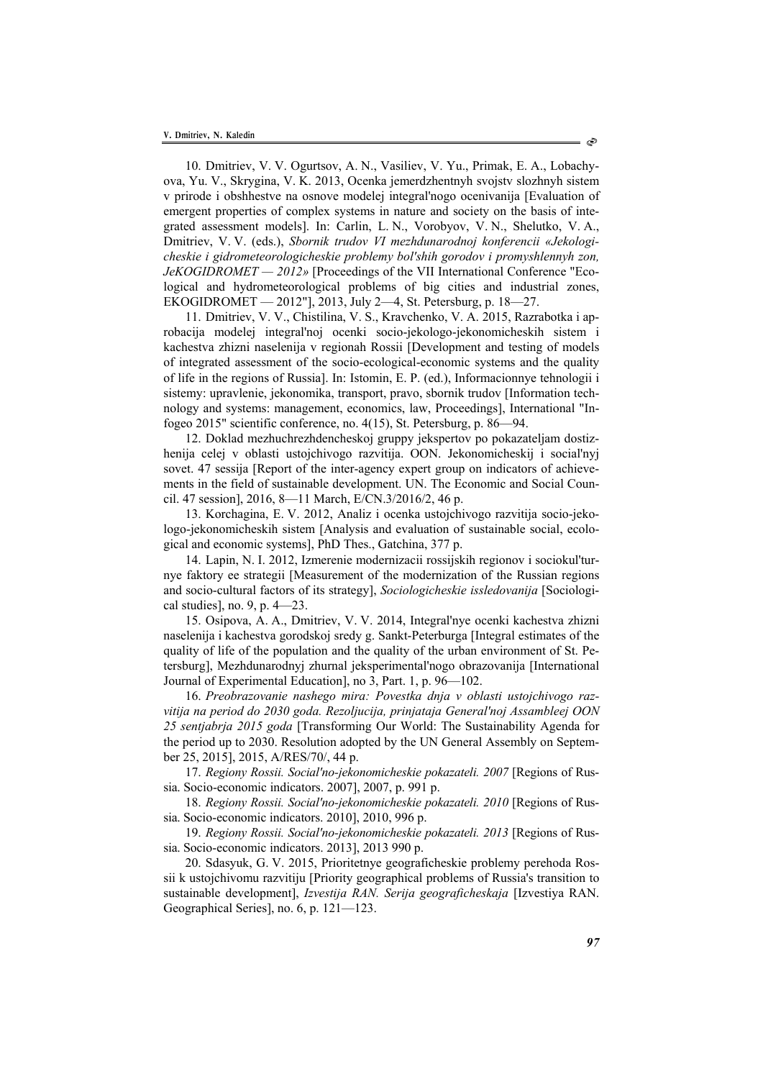10. Dmitriev, V. V. Ogurtsov, А. N., Vasiliev, V. Yu., Primak, Е. А., Lobachyova, Yu. V., Skrygina, V. K. 2013, Ocenka jemerdzhentnyh svojstv slozhnyh sistem v prirode i obshhestve na osnove modelej integral'nogo ocenivanija [Evaluation of emergent properties of complex systems in nature and society on the basis of integrated assessment models]. In: Carlin, L. N., Vorobyov, V. N., Shelutko, V. А., Dmitriev, V. V. (eds.), *Sbornik trudov VI mezhdunarodnoj konferencii «Jekologicheskie i gidrometeorologicheskie problemy bol'shih gorodov i promyshlennyh zon, JeKOGIDROMET — 2012»* [Proceedings of the VII International Conference "Ecological and hydrometeorological problems of big cities and industrial zones, EKOGIDROMET — 2012"], 2013, July 2—4, St. Petersburg, p. 18—27.

11. Dmitriev, V. V., Chistilina, V. S., Kravchenko, V. А. 2015, Razrabotka i aprobacija modelej integral'noj ocenki socio-jekologo-jekonomicheskih sistem i kachestva zhizni naselenija v regionah Rossii [Development and testing of models of integrated assessment of the socio-ecological-economic systems and the quality of life in the regions of Russia]. In: Istomin, Е. P. (ed.), Informacionnye tehnologii i sistemy: upravlenie, jekonomika, transport, pravo, sbornik trudov [Information technology and systems: management, economics, law, Proceedings], International "Infogeo 2015" scientific conference, no. 4(15), St. Petersburg, p. 86—94.

12. Doklad mezhuchrezhdencheskoj gruppy jekspertov po pokazateljam dostizhenija celej v oblasti ustojchivogo razvitija. OON. Jekonomicheskij i social'nyj sovet. 47 sessija [Report of the inter-agency expert group on indicators of achievements in the field of sustainable development. UN. The Economic and Social Council. 47 session], 2016, 8—11 March, E/CN.3/2016/2, 46 p.

13. Korchagina, Е. V. 2012, Analiz i ocenka ustojchivogo razvitija socio-jekologo-jekonomicheskih sistem [Analysis and evaluation of sustainable social, ecological and economic systems], PhD Thes., Gatchina, 377 p.

14. Lapin, N. I. 2012, Izmerenie modernizacii rossijskih regionov i sociokul'turnye faktory ee strategii [Measurement of the modernization of the Russian regions and socio-cultural factors of its strategy], *Sociologicheskie issledovanija* [Sociological studies], no. 9, p. 4—23.

15. Osipova, А. А., Dmitriev, V. V. 2014, Integral'nye ocenki kachestva zhizni naselenija i kachestva gorodskoj sredy g. Sankt-Peterburga [Integral estimates of the quality of life of the population and the quality of the urban environment of St. Petersburg], Mezhdunarodnyj zhurnal jeksperimental'nogo obrazovanija [International Journal of Experimental Education], no 3, Part. 1, p. 96—102.

16. *Preobrazovanie nashego mira: Povestka dnja v oblasti ustojchivogo razvitija na period do 2030 goda. Rezoljucija, prinjataja General'noj Assambleej OON 25 sentjabrja 2015 goda* [Transforming Our World: The Sustainability Agenda for the period up to 2030. Resolution adopted by the UN General Assembly on September 25, 2015], 2015, A/RES/70/, 44 p.

17. *Regiony Rossii. Social'no-jekonomicheskie pokazateli. 2007* [Regions of Russia. Socio-economic indicators. 2007], 2007, p. 991 p.

18. *Regiony Rossii. Social'no-jekonomicheskie pokazateli. 2010* [Regions of Russia. Socio-economic indicators. 2010], 2010, 996 p.

19. *Regiony Rossii. Social'no-jekonomicheskie pokazateli. 2013* [Regions of Russia. Socio-economic indicators. 2013], 2013 990 p.

20. Sdasyuk, G. V. 2015, Prioritetnye geograficheskie problemy perehoda Rossii k ustojchivomu razvitiju [Priority geographical problems of Russia's transition to sustainable development], *Izvestija RAN. Serija geograficheskaja* [Izvestiya RAN. Geographical Series], no. 6, p. 121—123.